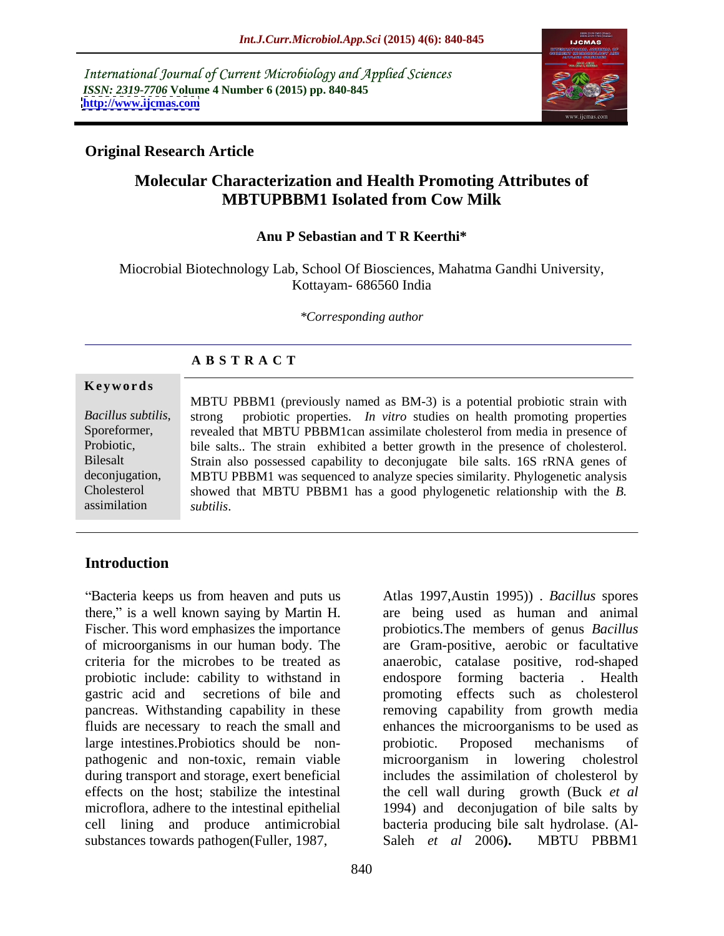International Journal of Current Microbiology and Applied Sciences *ISSN: 2319-7706* **Volume 4 Number 6 (2015) pp. 840-845 <http://www.ijcmas.com>**



### **Original Research Article**

## **Molecular Characterization and Health Promoting Attributes of MBTUPBBM1 Isolated from Cow Milk**

#### **Anu P Sebastian and T R Keerthi\***

Miocrobial Biotechnology Lab, School Of Biosciences, Mahatma Gandhi University, Kottayam- 686560 India

*\*Corresponding author*

### **A B S T R A C T**

assimilation

MBTU PBBM1 (previously named as BM-3) is a potential probiotic strain with strong probiotic properties. *In vitro* studies on health promoting properties *Bacillus subtilis*, strong probiotic properties. *In vitro* studies on health promoting properties revealed that MBTU PBBM1can assimilate cholesterol from media in presence of Probiotic, bile salts.. The strain exhibited a better growth in the presence of cholesterol. Strain also possessed capability to deconjugate bile salts. 16S rRNA genes of Bilesalt deconjugation, MBTU PBBM1 was sequenced to analyze species similarity. Phylogenetic analysis showed that MBTU PBBM1 has a good phylogenetic relationship with the *B.*  Cholesterol **Solution Mathematical Mathematical Mathematical Short and Short and Short and Short and Short and Short and Short and Short and Short and Short and Short and Short and Short and Short and Short and Short and Short and Sho** 

### **Introduction**

Bacteria keeps us from heaven and puts us Atlas 1997,Austin 1995)) . *Bacillus* spores there," is a well known saying by Martin H. are being used as human and animal Fischer. This word emphasizes the importance probiotics.The members of genus *Bacillus*  of microorganisms in our human body. The are Gram-positive, aerobic or facultative criteria for the microbes to be treated as anaerobic, catalase positive, rod-shaped probiotic include: cability to withstand in endospore forming bacteria. Health gastric acid and secretions of bile and promoting effects such as cholesterol pancreas. Withstanding capability in these fluids are necessary to reach the small and enhances the microorganisms to be used as large intestines. Probiotics should be non-<br>probiotic. Proposed mechanisms of pathogenic and non-toxic, remain viable microorganism in lowering cholestrol during transport and storage, exert beneficial includes the assimilation of cholesterol by effects on the host; stabilize the intestinal the cell wall during growth (Buck *et al* microflora, adhere to the intestinal epithelial 1994) and deconjugation of bile salts by cell lining and produce antimicrobial bacteria producing bile salt hydrolase. (Al substances towards pathogen(Fuller, 1987, Saleh et al. 2006). MBTU PBBM1

endospore forming bacteria. removing capability from growth media probiotic. Proposed mechanisms of Saleh *et al* 2006**).** MBTU PBBM1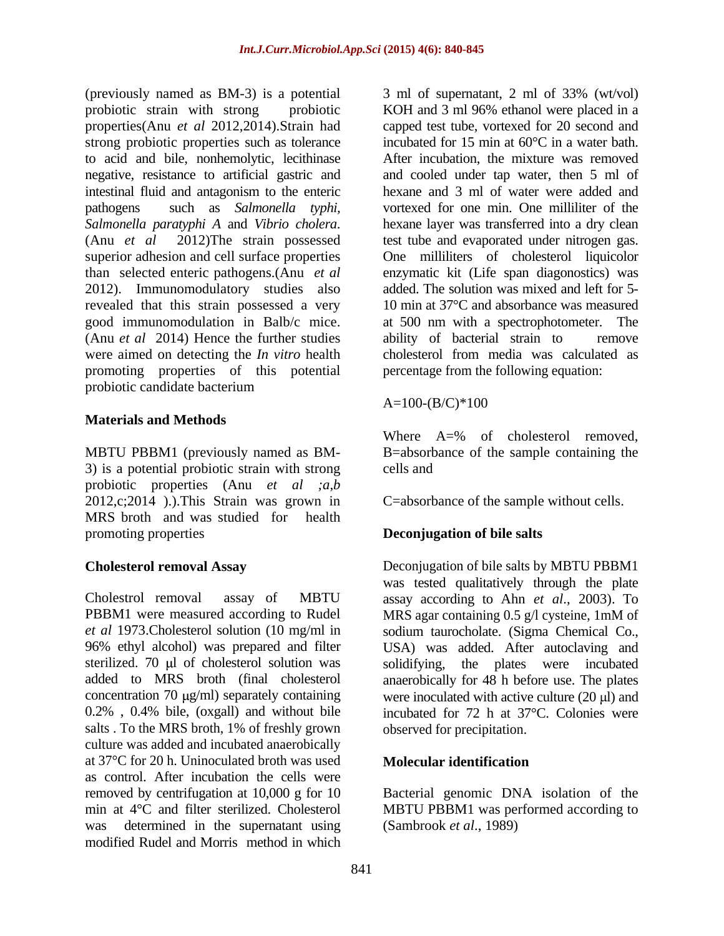(previously named as BM-3) is a potential  $\qquad$  3 ml of supernatant, 2 ml of 33% (wt/vol) strong probiotic properties such as tolerance to acid and bile, nonhemolytic, lecithinase intestinal fluid and antagonism to the enteric than selected enteric pathogens.(Anu *et al* 2012). Immunomodulatory studies also revealed that this strain possessed a very good immunomodulation in Balb/c mice. (Anu *et al* 2014) Hence the further studies were aimed on detecting the *In vitro* health promoting properties of this potential probiotic candidate bacterium

### **Materials and Methods**

MBTU PBBM1 (previously named as BM- 3) is a potential probiotic strain with strong probiotic properties (Anu *et al ;a,b* 2012,c;2014 ).).This Strain was grown in MRS broth and was studied for health promoting properties **Deconjugation of bile salts** 

Cholestrol removal assay of MBTU assay according to Ahn *et al*., 2003). To PBBM1 were measured according to Rudel MRS agar containing 0.5 g/l cysteine, 1mM of *et al* 1973.Cholesterol solution (10 mg/ml in sodium taurocholate. (Sigma Chemical Co., 96% ethyl alcohol) was prepared and filter USA) was added. After autoclaving and sterilized. 70 µl of cholesterol solution was solidifying, the plates were incubated added to MRS broth (final cholesterol anaerobically for 48 h before use. The plates concentration 70  $\mu$ g/ml) separately containing were inoculated with active culture (20  $\mu$ l) and 0.2% , 0.4% bile, (oxgall) and without bile incubated for 72 h at 37°C. Colonies were salts . To the MRS broth, 1% of freshly grown culture was added and incubated anaerobically at 37°C for 20 h. Uninoculated broth was used as control. After incubation the cells were removed by centrifugation at 10,000 g for 10 Bacterial genomic DNA isolation of the min at 4°C and filter sterilized. Cholesterol MBTU PBBM1 was performed according to was determined in the supernatant using modified Rudel and Morris method in which

probiotic strain with strong probiotic KOH and 3 ml 96% ethanol were placed in a properties(Anu *et al* 2012,2014).Strain had capped test tube, vortexed for 20 second and negative, resistance to artificial gastric and and cooled under tap water, then 5 ml of pathogens such as *Salmonella typhi*, vortexed for one min. One milliliter of the *Salmonella paratyphi A* and *Vibrio cholera*. hexane layer was transferred into a dry clean (Anu *et al* 2012)The strain possessed test tube and evaporated under nitrogen gas. superior adhesion and cell surface properties One milliliters of cholesterol liquicolor good immunomodulation in Balb/c mice. at 500 nm with a spectrophotometer. The incubated for 15 min at 60°C in a water bath. After incubation, the mixture was removed hexane and 3 ml of water were added and enzymatic kit (Life span diagonostics) was added. The solution was mixed and left for 5- 10 min at 37<sup>o</sup>C and absorbance was measured ability of bacterial strain to cholesterol from media was calculated as percentage from the following equation:

 $A=100-(B/C)*100$ 

Where A=% of cholesterol removed, B=absorbance of the sample containing the cells and

C=absorbance of the sample without cells.

**Cholesterol removal Assay** Deconjugation of bile salts by MBTU PBBM1 was tested qualitatively through the plate observed for precipitation.

### **Molecular identification**

(Sambrook *et al*., 1989)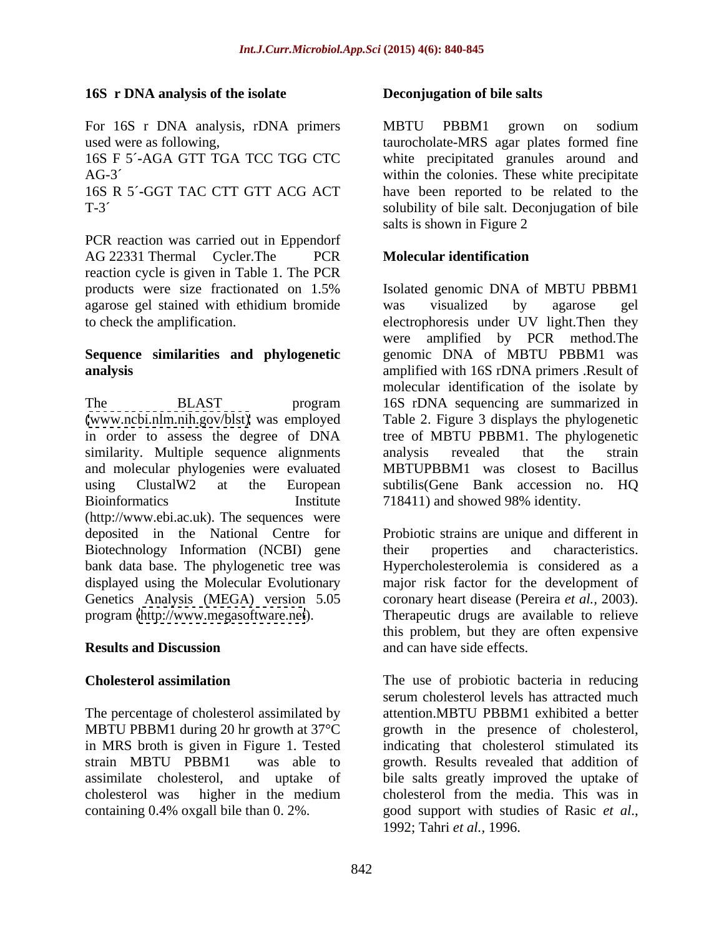### **16S r DNA analysis of the isolate**

For 16S r DNA analysis, rDNA primers MBTU PBBM1 grown on sodium

PCR reaction was carried out in Eppendorf AG 22331 Thermal Cycler.The PCR Molecular identification reaction cycle is given in Table 1. The PCR agarose gel stained with ethidium bromide

# **Sequence similarities and phylogenetic**

The BLAST program 16S rDNA sequencing are summarized in [\(www.ncbi.nlm.nih.gov/blst\)](http://www.ncbi.nlm.nih.gov/blst) was employed Table 2. Figure 3 displays the phylogenetic in order to assess the degree of DNA tree of MBTU PBBM1. The phylogenetic similarity. Multiple sequence alignments analysis revealed that the strain and molecular phylogenies were evaluated using ClustalW2 at the European subtilis(Gene Bank accession no. HQ Bioinformatics **Institute** 718411) and showed 98% identity. (http://www.ebi.ac.uk). The sequences were deposited in the National Centre for Probiotic strains are unique and different in Biotechnology Information (NCBI) gene their properties and characteristics. bank data base. The phylogenetic tree was Hypercholesterolemia is considered as a displayed using the Molecular Evolutionary major risk factor for the development of Genetics Analysis (MEGA) version 5.05

The percentage of cholesterol assimilated by in MRS broth is given in Figure 1. Tested containing 0.4% oxgall bile than 0.2%. good support with studies of Rasic et al.,

### **Deconjugation of bile salts**

used were as following, taurocholate-MRS agar plates formed fine 16S F 5´**-**AGA GTT TGA TCC TGG CTC white precipitated granules around and AG-3<sup> $\degree$ </sup>  $\degree$  within the colonies. These white precipitate 16S R 5´**-**GGT TAC CTT GTT ACG ACT have been reported to be related to the T-3´ solubility of bile salt. Deconjugation of bile MBTU PBBM1 grown on sodium salts is shown in Figure 2

### **Molecular identification**

products were size fractionated on 1.5% to check the amplification. electrophoresis under UV light.Then they **analysis** amplified with 16S rDNA primers .Result of Isolated genomic DNA of MBTU PBBM1 was visualized by agarose gel were amplified by PCR method.The genomic DNA of MBTU PBBM1 was molecular identification of the isolate by analysis revealed that the strain MBTUPBBM1 was closest to Bacillus

program [\(http://www.megasoftware.net](http://www.megasoftware.net)). Therapeutic drugs are available to relieve **Results and Discussion** and can have side effects. their properties and characteristics. coronary heart disease (Pereira *et al.,* 2003). this problem, but they are often expensive and can have side effects.

**Cholesterol assimilation** The use of probiotic bacteria in reducing MBTU PBBM1 during 20 hr growth at 37<sup>o</sup>C growth in the presence of cholesterol, strain MBTU PBBM1 was able to growth. Results revealed that addition of assimilate cholesterol, and uptake of bile salts greatly improved the uptake of cholesterol was higher in the medium serum cholesterol levels has attracted much attention.MBTU PBBM1 exhibited a better indicating that cholesterol stimulated its cholesterol from the media. This was in good support with studies of Rasic *et al*., 1992; Tahri *et al.,* 1996.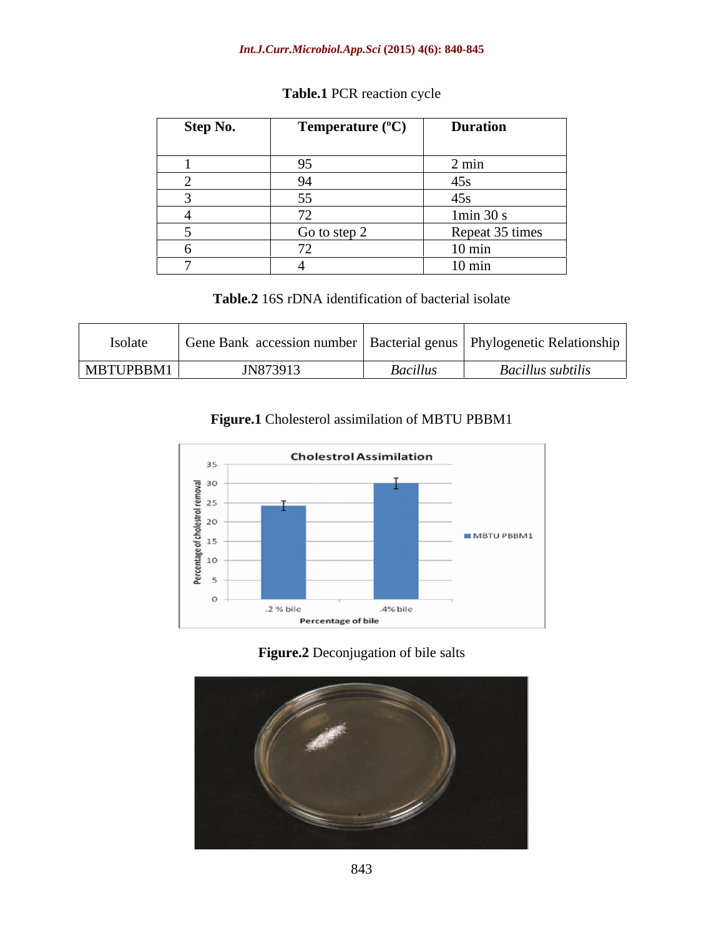#### *Int.J.Curr.Microbiol.App.Sci* **(2015) 4(6): 840-845**

| <b>Step No.</b> | Temperature $(^{\circ}C)$              | <b>Duration</b>  |
|-----------------|----------------------------------------|------------------|
|                 |                                        |                  |
|                 | $\sim$ $\sim$<br>ノン                    | $2 \text{ min}$  |
|                 | 94                                     | 45s              |
|                 | $ -$<br>JJ                             | $\sim$<br>45s    |
|                 | $\overline{\phantom{0}}$<br>$\sqrt{2}$ | 1min 30 s        |
|                 | Go to step 2                           | Repeat 35 times  |
|                 | $\sqrt{2}$                             | $10 \text{ min}$ |
|                 |                                        | $10 \text{ min}$ |

# **Table.1** PCR reaction cycle

**Table.2** 16S rDNA identification of bacterial isolate

| <b>Isolate</b> | accession number | "   Bacterial genus | <b>Phylogenetic Relationship</b> |
|----------------|------------------|---------------------|----------------------------------|
|                | мнк              |                     |                                  |
| MBTUPBBM1      | JN873913         | Baculus             | uus subtili.                     |

**Figure.1** Cholesterol assimilation of MBTU PBBM1



**Figure.2** Deconjugation of bile salts

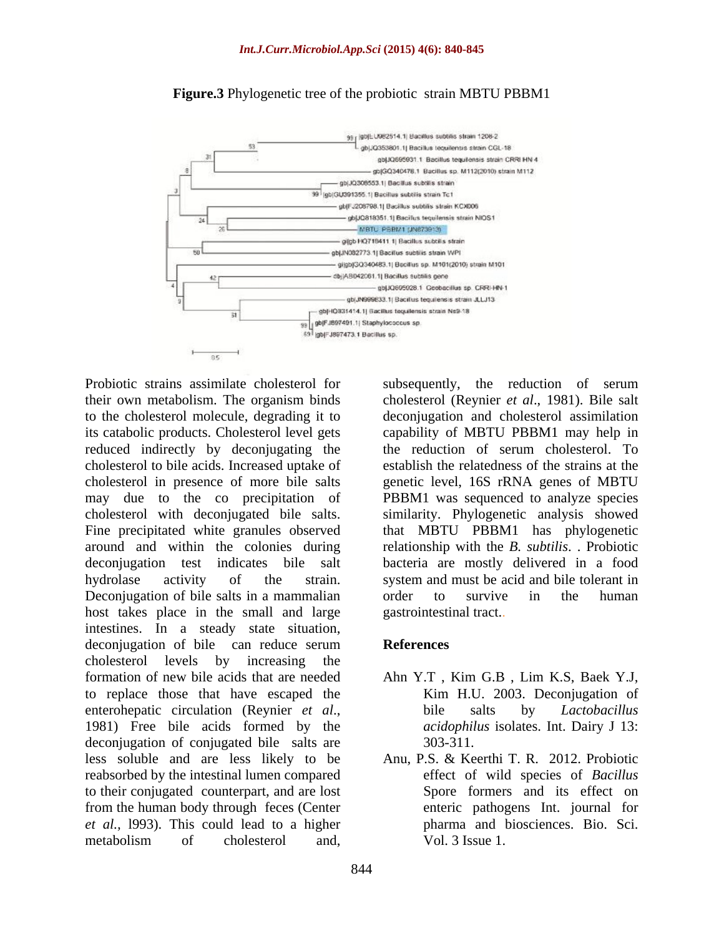

#### **Figure.3** Phylogenetic tree of the probiotic strain MBTU PBBM1

Probiotic strains assimilate cholesterol for subsequently, the reduction of serum cholesterol to bile acids. Increased uptake of may due to the co precipitation of Fine precipitated white granules observed Deconjugation of bile salts in a mammalian order to survive in the human host takes place in the small and large intestines. In a steady state situation, deconjugation of bile can reduce serum **References** cholesterol levels by increasing the formation of new bile acids that are needed Ahn Y.T , Kim G.B , Lim K.S, Baek Y.J, to replace those that have escaped the Kim H.U. 2003. Deconjugation of enterohepatic circulation (Reynier *et al.*, bile salts by *Lactobacillus*<br>1981) Free bile acids formed by the *acidophilus* isolates. Int. Dairy J 13: deconjugation of conjugated bile salts are  $303-311$ . less soluble and are less likely to be reabsorbed by the intestinal lumen compared to their conjugated counterpart, and are lost from the human body through feces (Center *et al.,* l993). This could lead to a higher Probiotic strains assimilate cholesterol of serume that is cholesterol (Reynier *et al.*, 1981). Bite salt the reduction model to the cholesterol and cholesterol simulation the cholesterol edepending it to deconingtation

their own metabolism. The organism binds cholesterol (Reynier *et al*., 1981). Bile salt to the cholesterol molecule, degrading it to deconjugation and cholesterol assimilation its catabolic products. Cholesterol level gets capability of MBTU PBBM1 may help in reduced indirectly by deconjugating the the reduction of serum cholesterol. To cholesterol in presence of more bile salts genetic level, 16S rRNA genes of MBTU cholesterol with deconjugated bile salts. similarity. Phylogenetic analysis showed around and within the colonies during relationship with the *B. subtilis.* Probiotic deconjugation test indicates bile salt bacteria are mostly delivered in a food hydrolase activity of the strain. system and must be acid and bile tolerant in establish the relatedness of the strains at the PBBM1 was sequenced to analyze species that MBTU PBBM1 has phylogenetic order to survive in the human gastrointestinal tract..

#### **References**

- Kim H.U. 2003. Deconjugation of bile salts by *Lactobacillus acidophilus* isolates. Int. Dairy J 13: 303-311.
- Anu, P.S. & Keerthi T. R. 2012. Probiotic effect of wild species of *Bacillus* Spore formers and its effect on enteric pathogens Int. journal for pharma and biosciences. Bio. Sci. Vol. 3 Issue 1.